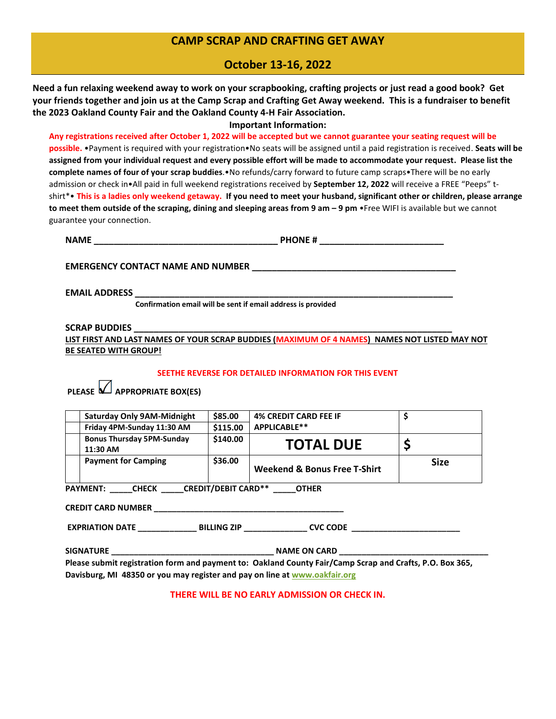## **CAMP SCRAP AND CRAFTING GET AWAY**

## **October 13-16, 2022**

**Need a fun relaxing weekend away to work on your scrapbooking, crafting projects or just read a good book? Get your friends together and join us at the Camp Scrap and Crafting Get Away weekend. This is a fundraiser to benefit the 2023 Oakland County Fair and the Oakland County 4-H Fair Association.**

#### **Important Information:**

**Any registrations received after October 1, 2022 will be accepted but we cannot guarantee your seating request will be possible.** •Payment is required with your registration•No seats will be assigned until a paid registration is received. **Seats will be assigned from your individual request and every possible effort will be made to accommodate your request. Please list the complete names of four of your scrap buddies**.•No refunds/carry forward to future camp scraps•There will be no early admission or check in•All paid in full weekend registrations received by **September 12, 2022** will receive a FREE "Peeps" tshirt\*• **This is a ladies only weekend getaway. If you need to meet your husband, significant other or children, please arrange to meet them outside of the scraping, dining and sleeping areas from 9 am – 9 pm** •Free WIFI is available but we cannot guarantee your connection.

| n | <b>NAME</b> | DUONE # |  |
|---|-------------|---------|--|
|---|-------------|---------|--|

**EMERGENCY CONTACT NAME AND NUMBER \_\_\_\_\_\_\_\_\_\_\_\_\_\_\_\_\_\_\_\_\_\_\_\_\_\_\_\_\_\_\_\_\_\_\_\_\_\_\_\_\_**

**EMAIL ADDRESS \_\_\_\_\_\_\_\_\_\_\_\_\_\_\_\_\_\_\_\_\_\_\_\_\_\_\_\_\_\_\_\_\_\_\_\_\_\_\_\_\_\_\_\_\_\_\_\_\_\_\_\_\_\_\_\_\_\_\_\_\_\_\_\_**

 **Confirmation email will be sent if email address is provided**

#### **SCRAP BUDDIES \_\_\_\_\_\_\_\_\_\_\_\_\_\_\_\_\_\_\_\_\_\_\_\_\_\_\_\_\_\_\_\_\_\_\_\_\_\_\_\_\_\_\_\_\_\_\_\_\_\_\_\_\_\_\_\_\_\_\_\_\_\_\_\_**

**LIST FIRST AND LAST NAMES OF YOUR SCRAP BUDDIES (MAXIMUM OF 4 NAMES) NAMES NOT LISTED MAY NOT BE SEATED WITH GROUP!**

#### **SEETHE REVERSE FOR DETAILED INFORMATION FOR THIS EVENT**

**PLEASE APPROPRIATE BOX(ES)** 

| <b>Saturday Only 9AM-Midnight</b>                                                                        | \$85.00  | <b>4% CREDIT CARD FEE IF</b> | \$ |  |  |  |
|----------------------------------------------------------------------------------------------------------|----------|------------------------------|----|--|--|--|
| Friday 4PM-Sunday 11:30 AM                                                                               | \$115.00 | APPLICABLE**                 |    |  |  |  |
| <b>Bonus Thursday 5PM-Sunday</b>                                                                         | \$140.00 | <b>TOTAL DUE</b>             | \$ |  |  |  |
| 11:30 AM                                                                                                 |          |                              |    |  |  |  |
| \$36.00<br><b>Payment for Camping</b><br><b>Size</b><br><b>Weekend &amp; Bonus Free T-Shirt</b>          |          |                              |    |  |  |  |
| PAYMENT: _____CHECK _____CREDIT/DEBIT CARD** ______ OTHER                                                |          |                              |    |  |  |  |
|                                                                                                          |          |                              |    |  |  |  |
|                                                                                                          |          |                              |    |  |  |  |
| Please submit registration form and payment to: Oakland County Fair/Camp Scrap and Crafts, P.O. Box 365, |          |                              |    |  |  |  |
| Davisburg, MI 48350 or you may register and pay on line at www.oakfair.org                               |          |                              |    |  |  |  |

**THERE WILL BE NO EARLY ADMISSION OR CHECK IN.**